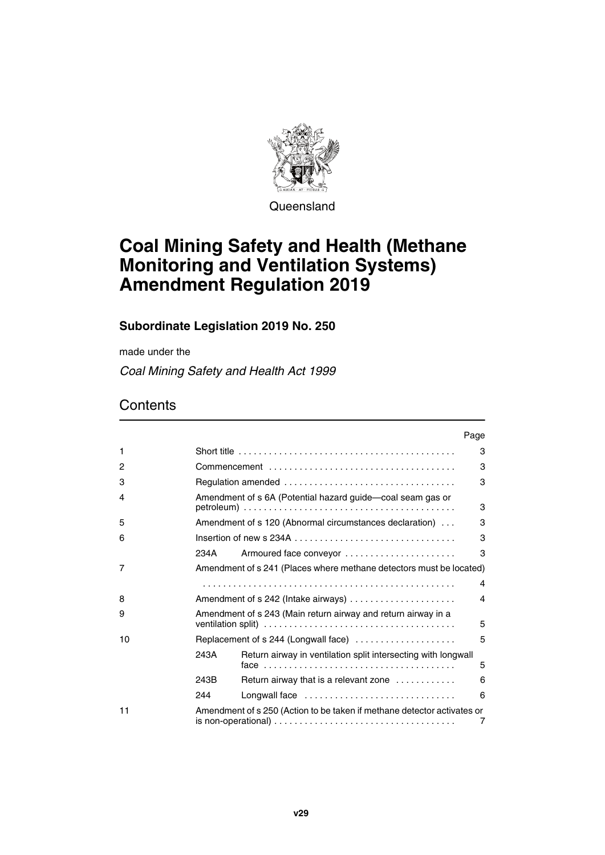

**Queensland** 

# **Coal Mining Safety and Health (Methane Monitoring and Ventilation Systems) Amendment Regulation 2019**

## **Subordinate Legislation 2019 No. 250**

made under the

*Coal Mining Safety and Health Act 1999*

## **Contents**

|    |      |                                                                         | Page |
|----|------|-------------------------------------------------------------------------|------|
| 1  |      |                                                                         | 3    |
| 2  |      |                                                                         | 3    |
| 3  |      |                                                                         | 3    |
| 4  |      | Amendment of s 6A (Potential hazard guide-coal seam gas or              | 3    |
| 5  |      | Amendment of s 120 (Abnormal circumstances declaration)                 | 3    |
| 6  |      |                                                                         | 3    |
|    | 234A | Armoured face conveyor                                                  | 3    |
| 7  |      | Amendment of s 241 (Places where methane detectors must be located)     |      |
|    |      |                                                                         | 4    |
| 8  |      | Amendment of s 242 (Intake airways)                                     | 4    |
| 9  |      | Amendment of s 243 (Main return airway and return airway in a           | 5    |
| 10 |      | Replacement of s 244 (Longwall face)                                    | 5    |
|    | 243A | Return airway in ventilation split intersecting with longwall           | 5    |
|    | 243B | Return airway that is a relevant zone                                   | 6    |
|    | 244  | Longwall face                                                           | 6    |
| 11 |      | Amendment of s 250 (Action to be taken if methane detector activates or | 7    |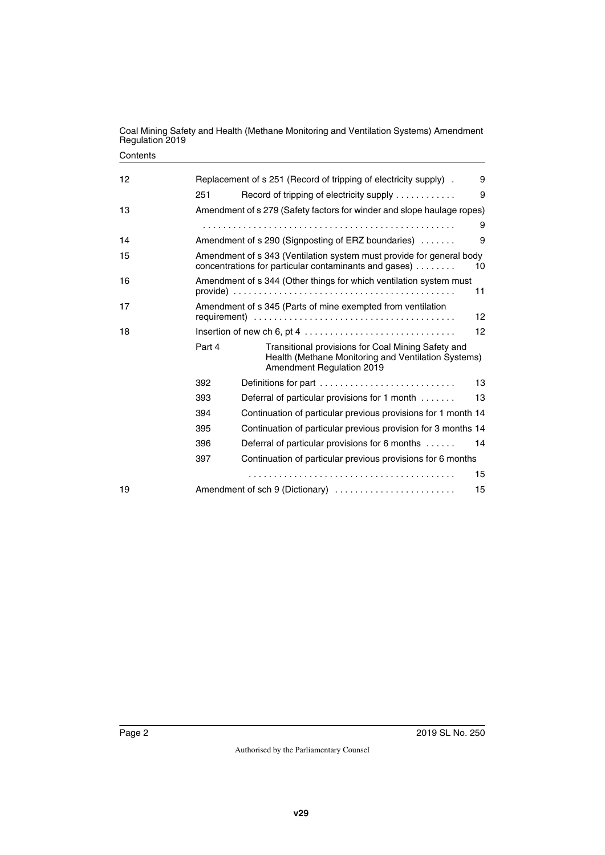#### **Contents**

| 12 |                                                                                                                                     | Replacement of s 251 (Record of tripping of electricity supply).                                                                       | 9  |
|----|-------------------------------------------------------------------------------------------------------------------------------------|----------------------------------------------------------------------------------------------------------------------------------------|----|
|    | 251                                                                                                                                 | Record of tripping of electricity supply                                                                                               | 9  |
| 13 |                                                                                                                                     | Amendment of s 279 (Safety factors for winder and slope haulage ropes)                                                                 |    |
|    |                                                                                                                                     |                                                                                                                                        | 9  |
| 14 |                                                                                                                                     | Amendment of s 290 (Signposting of ERZ boundaries)                                                                                     | 9  |
| 15 | Amendment of s 343 (Ventilation system must provide for general body<br>concentrations for particular contaminants and gases)<br>10 |                                                                                                                                        |    |
| 16 |                                                                                                                                     | Amendment of s 344 (Other things for which ventilation system must                                                                     | 11 |
| 17 |                                                                                                                                     | Amendment of s 345 (Parts of mine exempted from ventilation                                                                            | 12 |
| 18 |                                                                                                                                     |                                                                                                                                        | 12 |
|    | Part 4                                                                                                                              | Transitional provisions for Coal Mining Safety and<br>Health (Methane Monitoring and Ventilation Systems)<br>Amendment Regulation 2019 |    |
|    | 392                                                                                                                                 | Definitions for part                                                                                                                   | 13 |
|    | 393                                                                                                                                 | Deferral of particular provisions for 1 month                                                                                          | 13 |
|    | 394                                                                                                                                 | Continuation of particular previous provisions for 1 month 14                                                                          |    |
|    | 395                                                                                                                                 | Continuation of particular previous provision for 3 months 14                                                                          |    |
|    | 396                                                                                                                                 | Deferral of particular provisions for 6 months                                                                                         | 14 |
|    | 397                                                                                                                                 | Continuation of particular previous provisions for 6 months                                                                            |    |
|    |                                                                                                                                     |                                                                                                                                        | 15 |
| 19 |                                                                                                                                     | Amendment of sch 9 (Dictionary)                                                                                                        | 15 |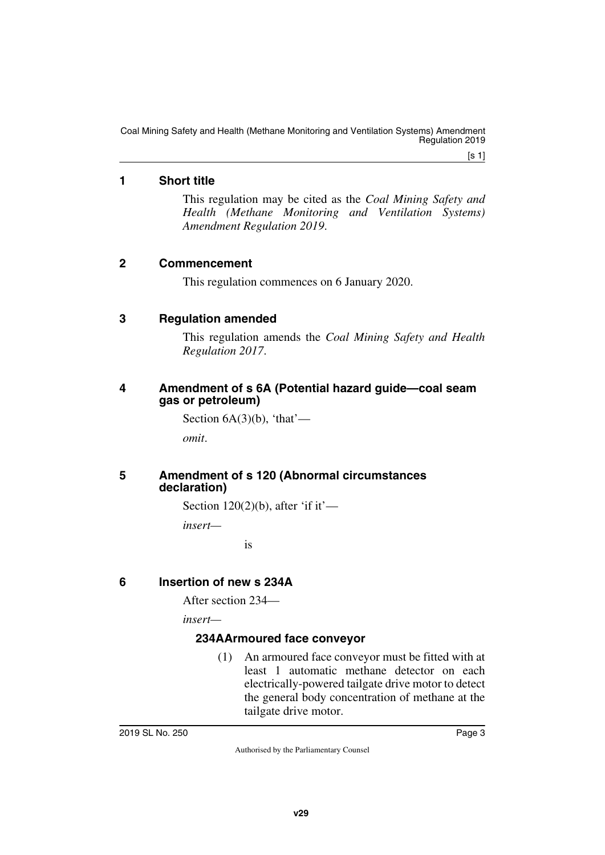$[s 1]$ 

## <span id="page-2-0"></span>**1 Short title**

<span id="page-2-1"></span>This regulation may be cited as the *Coal Mining Safety and Health (Methane Monitoring and Ventilation Systems) Amendment Regulation 2019*.

### <span id="page-2-2"></span>**2 Commencement**

<span id="page-2-5"></span><span id="page-2-3"></span>This regulation commences on 6 January 2020.

#### <span id="page-2-4"></span>**3 Regulation amended**

This regulation amends the *Coal Mining Safety and Health Regulation 2017*.

#### <span id="page-2-7"></span><span id="page-2-6"></span>**4 Amendment of s 6A (Potential hazard guide—coal seam gas or petroleum)**

Section  $6A(3)(b)$ , 'that'—

<span id="page-2-9"></span>*omit*.

#### <span id="page-2-8"></span>**5 Amendment of s 120 (Abnormal circumstances declaration)**

Section  $120(2)(b)$ , after 'if it'—

*insert—*

is

## <span id="page-2-10"></span>**6 Insertion of new s 234A**

<span id="page-2-11"></span>After section 234—

*insert—*

#### <span id="page-2-13"></span><span id="page-2-12"></span>**234AArmoured face conveyor**

(1) An armoured face conveyor must be fitted with at least 1 automatic methane detector on each electrically-powered tailgate drive motor to detect the general body concentration of methane at the tailgate drive motor.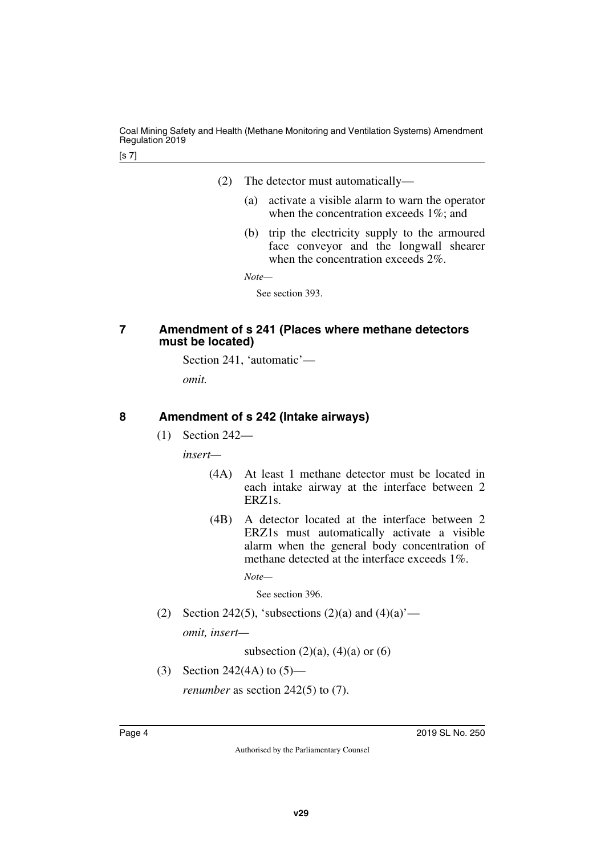- (2) The detector must automatically—
	- (a) activate a visible alarm to warn the operator when the concentration exceeds 1\%; and
	- (b) trip the electricity supply to the armoured face conveyor and the longwall shearer when the concentration exceeds 2%.

*Note—*

See section 393.

#### <span id="page-3-1"></span><span id="page-3-0"></span>**7 Amendment of s 241 (Places where methane detectors must be located)**

Section 241, 'automatic'—

*omit.*

#### <span id="page-3-2"></span>**8 Amendment of s 242 (Intake airways)**

<span id="page-3-3"></span>(1) Section 242—

*insert—*

- (4A) At least 1 methane detector must be located in each intake airway at the interface between 2 ERZ1s.
- (4B) A detector located at the interface between 2 ERZ1s must automatically activate a visible alarm when the general body concentration of methane detected at the interface exceeds 1%.

*Note—*

See section 396.

(2) Section 242(5), 'subsections  $(2)(a)$  and  $(4)(a)$ ' *omit, insert—*

subsection  $(2)(a)$ ,  $(4)(a)$  or  $(6)$ 

(3) Section 242(4A) to (5)—

*renumber* as section 242(5) to (7).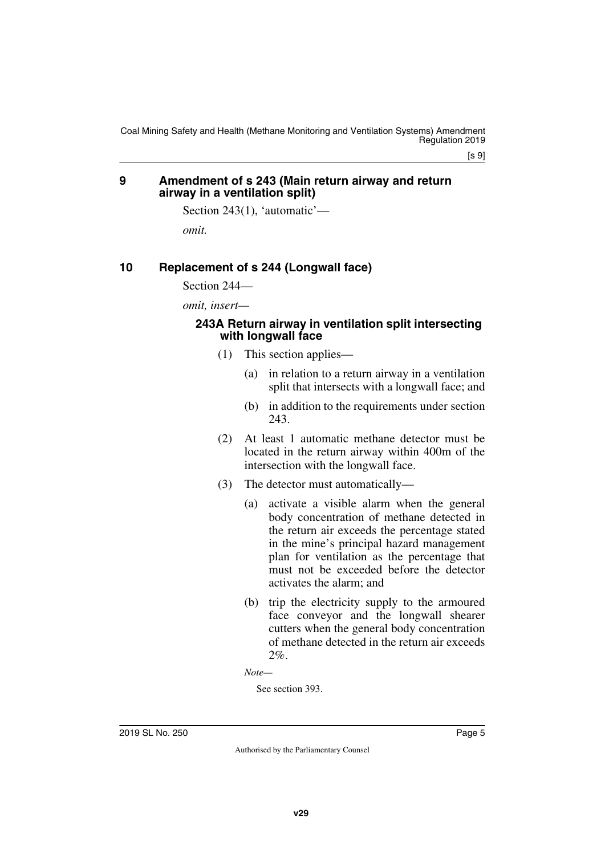$[s 9]$ 

#### <span id="page-4-1"></span><span id="page-4-0"></span>**9 Amendment of s 243 (Main return airway and return airway in a ventilation split)**

Section 243(1), 'automatic'—

<span id="page-4-3"></span>*omit.*

#### <span id="page-4-2"></span>**10 Replacement of s 244 (Longwall face)**

Section 244—

*omit, insert—*

#### <span id="page-4-5"></span><span id="page-4-4"></span>**243A Return airway in ventilation split intersecting with longwall face**

- (1) This section applies—
	- (a) in relation to a return airway in a ventilation split that intersects with a longwall face; and
	- (b) in addition to the requirements under section 243.
- (2) At least 1 automatic methane detector must be located in the return airway within 400m of the intersection with the longwall face.
- (3) The detector must automatically—
	- (a) activate a visible alarm when the general body concentration of methane detected in the return air exceeds the percentage stated in the mine's principal hazard management plan for ventilation as the percentage that must not be exceeded before the detector activates the alarm; and
	- (b) trip the electricity supply to the armoured face conveyor and the longwall shearer cutters when the general body concentration of methane detected in the return air exceeds  $2\%$ .

*Note—*

See section 393.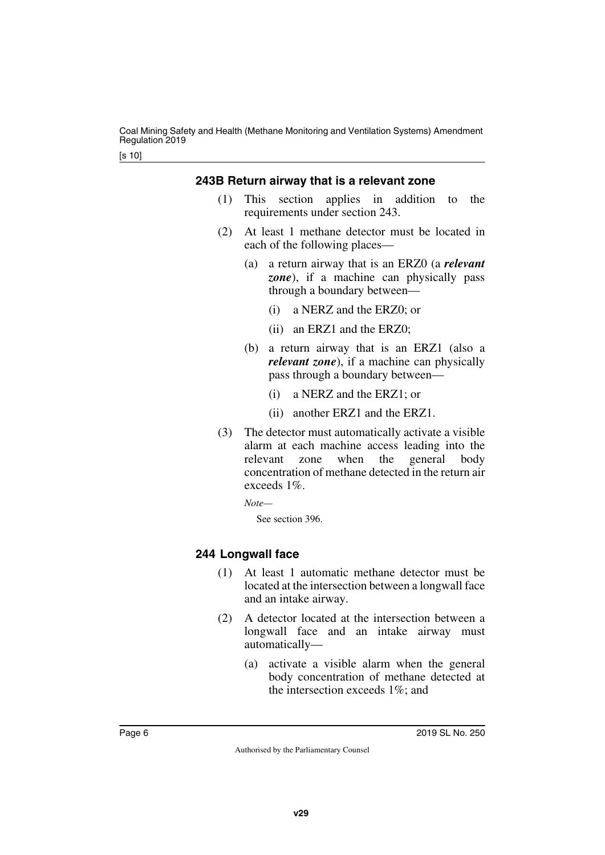#### <span id="page-5-0"></span>**243B Return airway that is a relevant zone**

- <span id="page-5-1"></span>(1) This section applies in addition to the requirements under section 243.
- (2) At least 1 methane detector must be located in each of the following places—
	- (a) a return airway that is an ERZ0 (a *relevant zone*), if a machine can physically pass through a boundary between—
		- (i) a NERZ and the ERZ0; or
		- (ii) an ERZ1 and the ERZ0;
	- (b) a return airway that is an ERZ1 (also a *relevant zone*), if a machine can physically pass through a boundary between—
		- (i) a NERZ and the ERZ1; or
		- (ii) another ERZ1 and the ERZ1.
- (3) The detector must automatically activate a visible alarm at each machine access leading into the relevant zone when the general body concentration of methane detected in the return air exceeds 1%.

*Note—*

See section 396.

#### <span id="page-5-3"></span><span id="page-5-2"></span>**244 Longwall face**

- (1) At least 1 automatic methane detector must be located at the intersection between a longwall face and an intake airway.
- (2) A detector located at the intersection between a longwall face and an intake airway must automatically—
	- (a) activate a visible alarm when the general body concentration of methane detected at the intersection exceeds 1%; and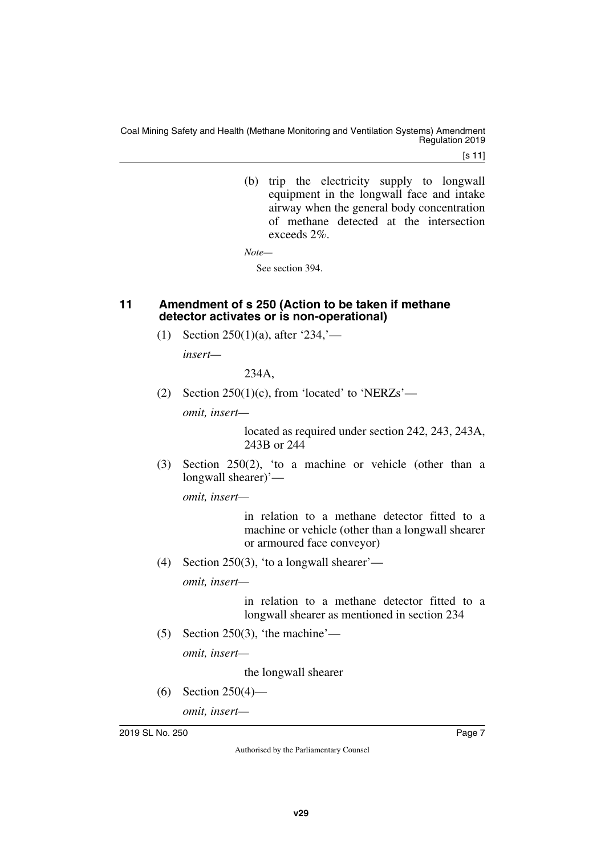[s 11]

(b) trip the electricity supply to longwall equipment in the longwall face and intake airway when the general body concentration of methane detected at the intersection exceeds 2%.

*Note—*

See section 394.

#### <span id="page-6-1"></span><span id="page-6-0"></span>**11 Amendment of s 250 (Action to be taken if methane detector activates or is non-operational)**

(1) Section 250(1)(a), after '234,'—

*insert—*

234A,

(2) Section  $250(1)(c)$ , from 'located' to 'NERZs'—

*omit, insert—*

located as required under section 242, 243, 243A, 243B or 244

(3) Section 250(2), 'to a machine or vehicle (other than a longwall shearer)'—

*omit, insert—*

in relation to a methane detector fitted to a machine or vehicle (other than a longwall shearer or armoured face conveyor)

(4) Section 250(3), 'to a longwall shearer'—

*omit, insert—*

in relation to a methane detector fitted to a longwall shearer as mentioned in section 234

(5) Section 250(3), 'the machine'—

*omit, insert—*

the longwall shearer

(6) Section 250(4)—

*omit, insert—*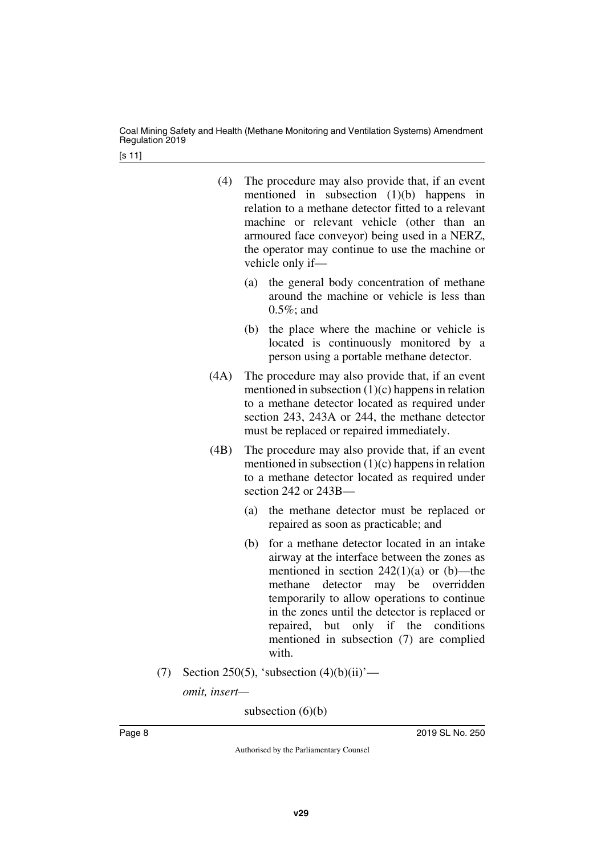[s 11]

| (4) | The procedure may also provide that, if an event    |
|-----|-----------------------------------------------------|
|     | mentioned in subsection $(1)(b)$ happens in         |
|     | relation to a methane detector fitted to a relevant |
|     | machine or relevant vehicle (other than an          |
|     | armoured face conveyor) being used in a NERZ,       |
|     | the operator may continue to use the machine or     |
|     | vehicle only if—                                    |

- (a) the general body concentration of methane around the machine or vehicle is less than  $0.5\%$ ; and
- (b) the place where the machine or vehicle is located is continuously monitored by a person using a portable methane detector.
- (4A) The procedure may also provide that, if an event mentioned in subsection  $(1)(c)$  happens in relation to a methane detector located as required under section 243, 243A or 244, the methane detector must be replaced or repaired immediately.
- (4B) The procedure may also provide that, if an event mentioned in subsection  $(1)(c)$  happens in relation to a methane detector located as required under section 242 or 243B—
	- (a) the methane detector must be replaced or repaired as soon as practicable; and
	- (b) for a methane detector located in an intake airway at the interface between the zones as mentioned in section  $242(1)(a)$  or (b)—the methane detector may be overridden temporarily to allow operations to continue in the zones until the detector is replaced or repaired, but only if the conditions mentioned in subsection (7) are complied with.
- (7) Section 250(5), 'subsection  $(4)(b)(ii)'$ —

*omit, insert—*

subsection  $(6)(b)$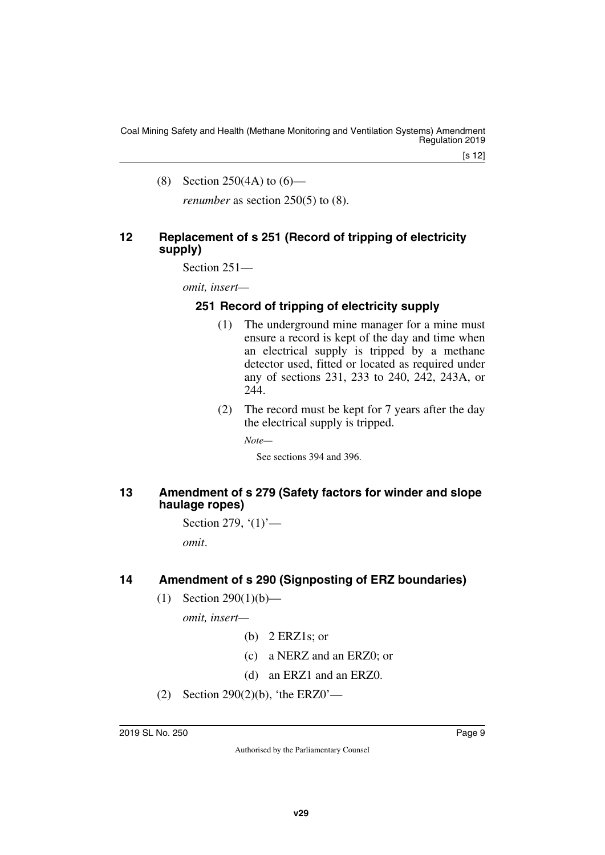[s 12]

(8) Section 250(4A) to (6)—

<span id="page-8-1"></span>*renumber* as section 250(5) to (8).

#### <span id="page-8-0"></span>**12 Replacement of s 251 (Record of tripping of electricity supply)**

Section 251—

*omit, insert—*

#### <span id="page-8-3"></span><span id="page-8-2"></span>**251 Record of tripping of electricity supply**

- (1) The underground mine manager for a mine must ensure a record is kept of the day and time when an electrical supply is tripped by a methane detector used, fitted or located as required under any of sections 231, 233 to 240, 242, 243A, or 244
- (2) The record must be kept for 7 years after the day the electrical supply is tripped.

*Note—*

See sections 394 and 396.

#### <span id="page-8-5"></span><span id="page-8-4"></span>**13 Amendment of s 279 (Safety factors for winder and slope haulage ropes)**

Section 279,  $(1)$ <sup>'</sup>—

*omit*.

#### <span id="page-8-6"></span>**14 Amendment of s 290 (Signposting of ERZ boundaries)**

<span id="page-8-7"></span>(1) Section 290(1)(b)—

*omit, insert—*

- $(b)$  2 ERZ1s; or
- (c) a NERZ and an ERZ0; or
- (d) an ERZ1 and an ERZ0.
- (2) Section 290(2)(b), 'the ERZ0'—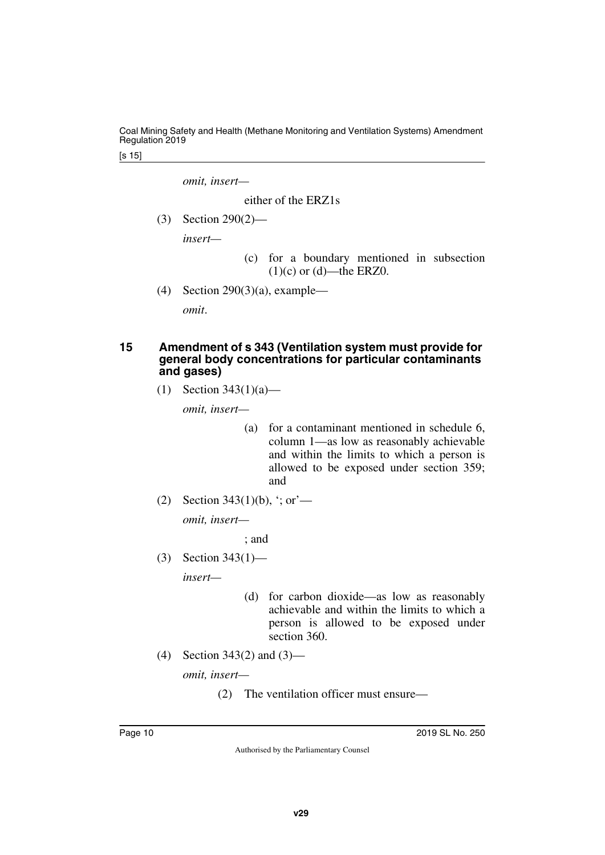[s 15]

*omit, insert—*

either of the ERZ1s

(3) Section 290(2)—

*insert—*

- (c) for a boundary mentioned in subsection  $(1)(c)$  or  $(d)$ —the ERZ0.
- (4) Section 290(3)(a), example—

<span id="page-9-1"></span>*omit*.

#### <span id="page-9-0"></span>**15 Amendment of s 343 (Ventilation system must provide for general body concentrations for particular contaminants and gases)**

(1) Section 343(1)(a)—

*omit, insert—*

- (a) for a contaminant mentioned in schedule 6, column 1—as low as reasonably achievable and within the limits to which a person is allowed to be exposed under section 359; and
- (2) Section 343(1)(b), '; or'—

*omit, insert—*

; and

(3) Section 343(1)—

*insert—*

- (d) for carbon dioxide—as low as reasonably achievable and within the limits to which a person is allowed to be exposed under section 360.
- (4) Section 343(2) and (3)—

*omit, insert—*

(2) The ventilation officer must ensure—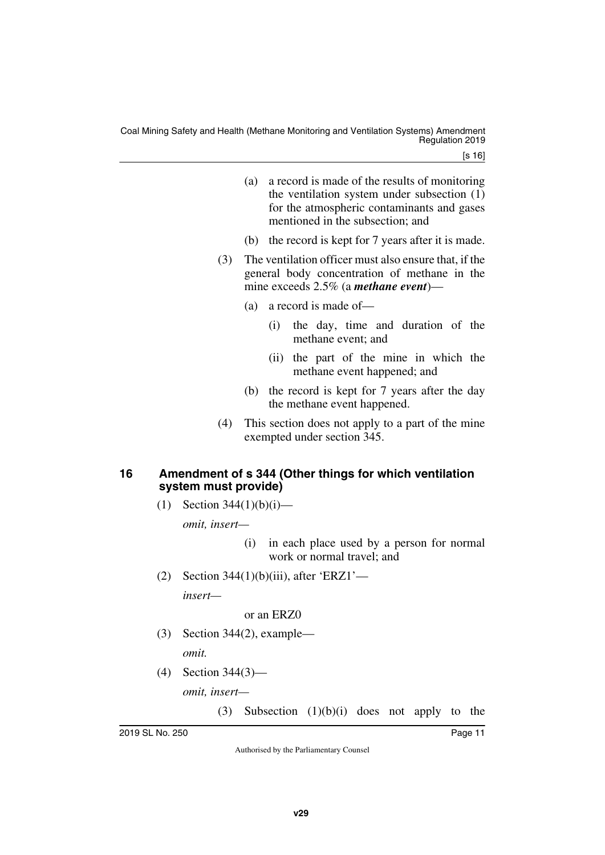- (a) a record is made of the results of monitoring the ventilation system under subsection (1) for the atmospheric contaminants and gases mentioned in the subsection; and
- (b) the record is kept for 7 years after it is made.
- (3) The ventilation officer must also ensure that, if the general body concentration of methane in the mine exceeds 2.5% (a *methane event*)—
	- (a) a record is made of—
		- (i) the day, time and duration of the methane event; and
		- (ii) the part of the mine in which the methane event happened; and
	- (b) the record is kept for 7 years after the day the methane event happened.
- (4) This section does not apply to a part of the mine exempted under section 345.

#### <span id="page-10-1"></span><span id="page-10-0"></span>**16 Amendment of s 344 (Other things for which ventilation system must provide)**

(1) Section  $344(1)(b)(i)$ —

*omit, insert—*

- (i) in each place used by a person for normal work or normal travel; and
- (2) Section 344(1)(b)(iii), after 'ERZ1'—

*insert—*

or an ERZ0

- (3) Section 344(2), example *omit.*
- (4) Section 344(3)—

*omit, insert—*

(3) Subsection (1)(b)(i) does not apply to the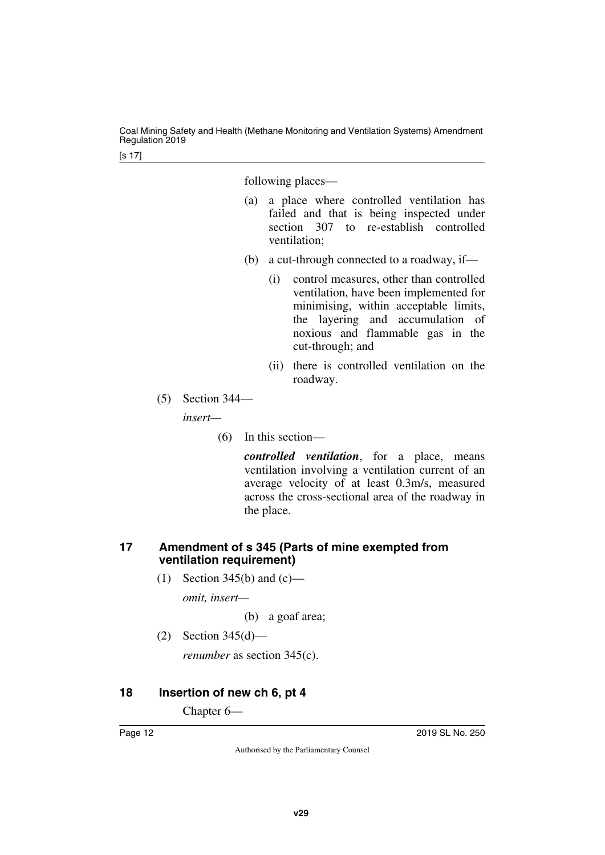following places—

- (a) a place where controlled ventilation has failed and that is being inspected under section 307 to re-establish controlled ventilation;
- (b) a cut-through connected to a roadway, if—
	- (i) control measures, other than controlled ventilation, have been implemented for minimising, within acceptable limits, the layering and accumulation of noxious and flammable gas in the cut-through; and
	- (ii) there is controlled ventilation on the roadway.
- (5) Section 344—

*insert—*

(6) In this section—

*controlled ventilation*, for a place, means ventilation involving a ventilation current of an average velocity of at least 0.3m/s, measured across the cross-sectional area of the roadway in the place.

#### <span id="page-11-1"></span><span id="page-11-0"></span>**17 Amendment of s 345 (Parts of mine exempted from ventilation requirement)**

(1) Section 345(b) and  $(c)$ —

*omit, insert—*

(b) a goaf area;

(2) Section 345(d)—

<span id="page-11-3"></span>*renumber* as section 345(c).

#### <span id="page-11-2"></span>**18 Insertion of new ch 6, pt 4**

Chapter 6—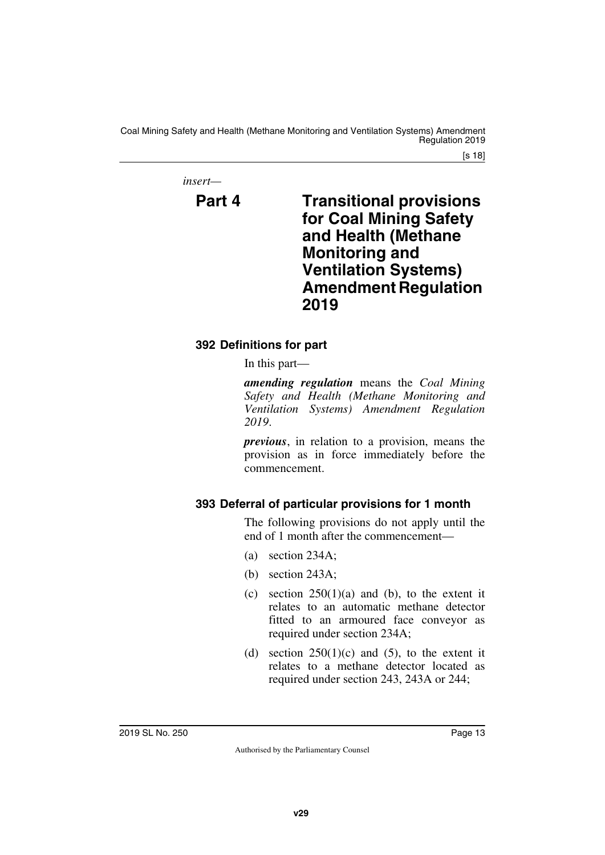[s 18]

*insert—*

<span id="page-12-1"></span>

## <span id="page-12-0"></span>**Part 4 Transitional provisions for Coal Mining Safety and Health (Methane Monitoring and Ventilation Systems) Amendment Regulation 2019**

## <span id="page-12-3"></span><span id="page-12-2"></span>**392 Definitions for part**

In this part—

*amending regulation* means the *Coal Mining Safety and Health (Methane Monitoring and Ventilation Systems) Amendment Regulation 2019*.

*previous*, in relation to a provision, means the provision as in force immediately before the commencement.

## <span id="page-12-5"></span><span id="page-12-4"></span>**393 Deferral of particular provisions for 1 month**

The following provisions do not apply until the end of 1 month after the commencement—

- (a) section 234A;
- (b) section 243A;
- (c) section  $250(1)(a)$  and (b), to the extent it relates to an automatic methane detector fitted to an armoured face conveyor as required under section 234A;
- (d) section  $250(1)(c)$  and  $(5)$ , to the extent it relates to a methane detector located as required under section 243, 243A or 244;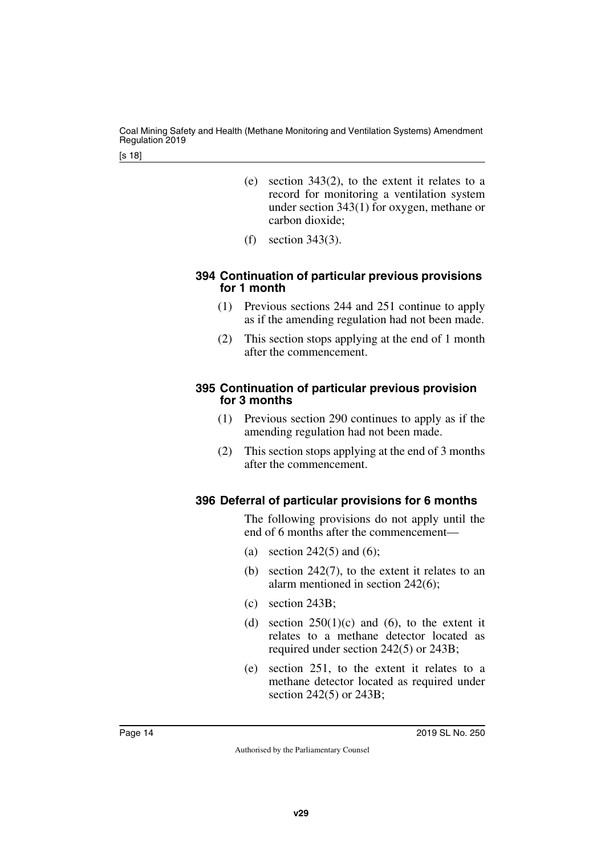- (e) section 343(2), to the extent it relates to a record for monitoring a ventilation system under section 343(1) for oxygen, methane or carbon dioxide;
- (f) section 343(3).

#### <span id="page-13-1"></span><span id="page-13-0"></span>**394 Continuation of particular previous provisions for 1 month**

- (1) Previous sections 244 and 251 continue to apply as if the amending regulation had not been made.
- (2) This section stops applying at the end of 1 month after the commencement.

#### <span id="page-13-3"></span><span id="page-13-2"></span>**395 Continuation of particular previous provision for 3 months**

- (1) Previous section 290 continues to apply as if the amending regulation had not been made.
- (2) This section stops applying at the end of 3 months after the commencement.

## <span id="page-13-5"></span><span id="page-13-4"></span>**396 Deferral of particular provisions for 6 months**

The following provisions do not apply until the end of 6 months after the commencement—

- (a) section 242(5) and (6);
- (b) section 242(7), to the extent it relates to an alarm mentioned in section 242(6);
- (c) section 243B;
- (d) section  $250(1)(c)$  and (6), to the extent it relates to a methane detector located as required under section 242(5) or 243B;
- (e) section 251, to the extent it relates to a methane detector located as required under section 242(5) or 243B;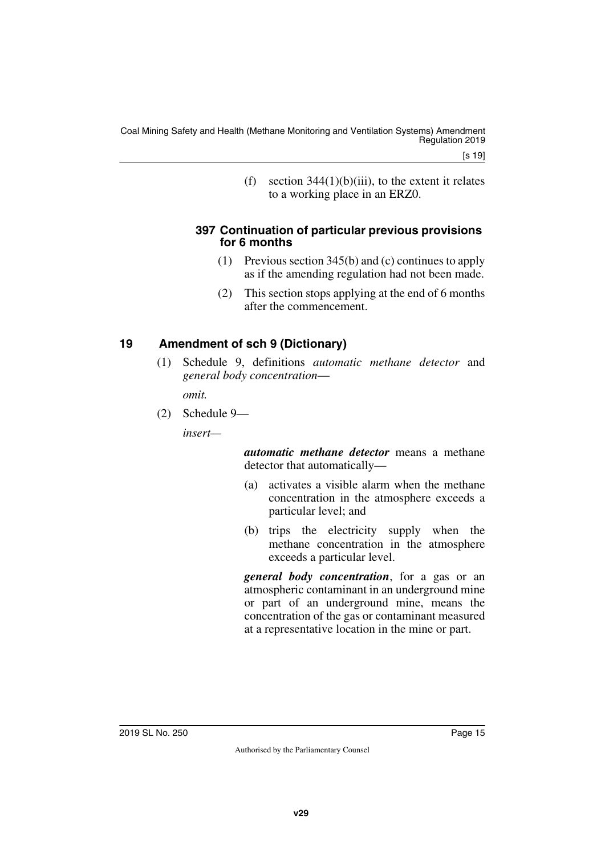[s 19]

(f) section  $344(1)(b)(iii)$ , to the extent it relates to a working place in an ERZ0.

#### <span id="page-14-1"></span><span id="page-14-0"></span>**397 Continuation of particular previous provisions for 6 months**

- (1) Previous section 345(b) and (c) continues to apply as if the amending regulation had not been made.
- (2) This section stops applying at the end of 6 months after the commencement.

## <span id="page-14-2"></span>**19 Amendment of sch 9 (Dictionary)**

<span id="page-14-3"></span>(1) Schedule 9, definitions *automatic methane detector* and *general body concentration*—

*omit.*

(2) Schedule 9—

*insert—*

*automatic methane detector* means a methane detector that automatically—

- (a) activates a visible alarm when the methane concentration in the atmosphere exceeds a particular level; and
- (b) trips the electricity supply when the methane concentration in the atmosphere exceeds a particular level.

*general body concentration*, for a gas or an atmospheric contaminant in an underground mine or part of an underground mine, means the concentration of the gas or contaminant measured at a representative location in the mine or part.